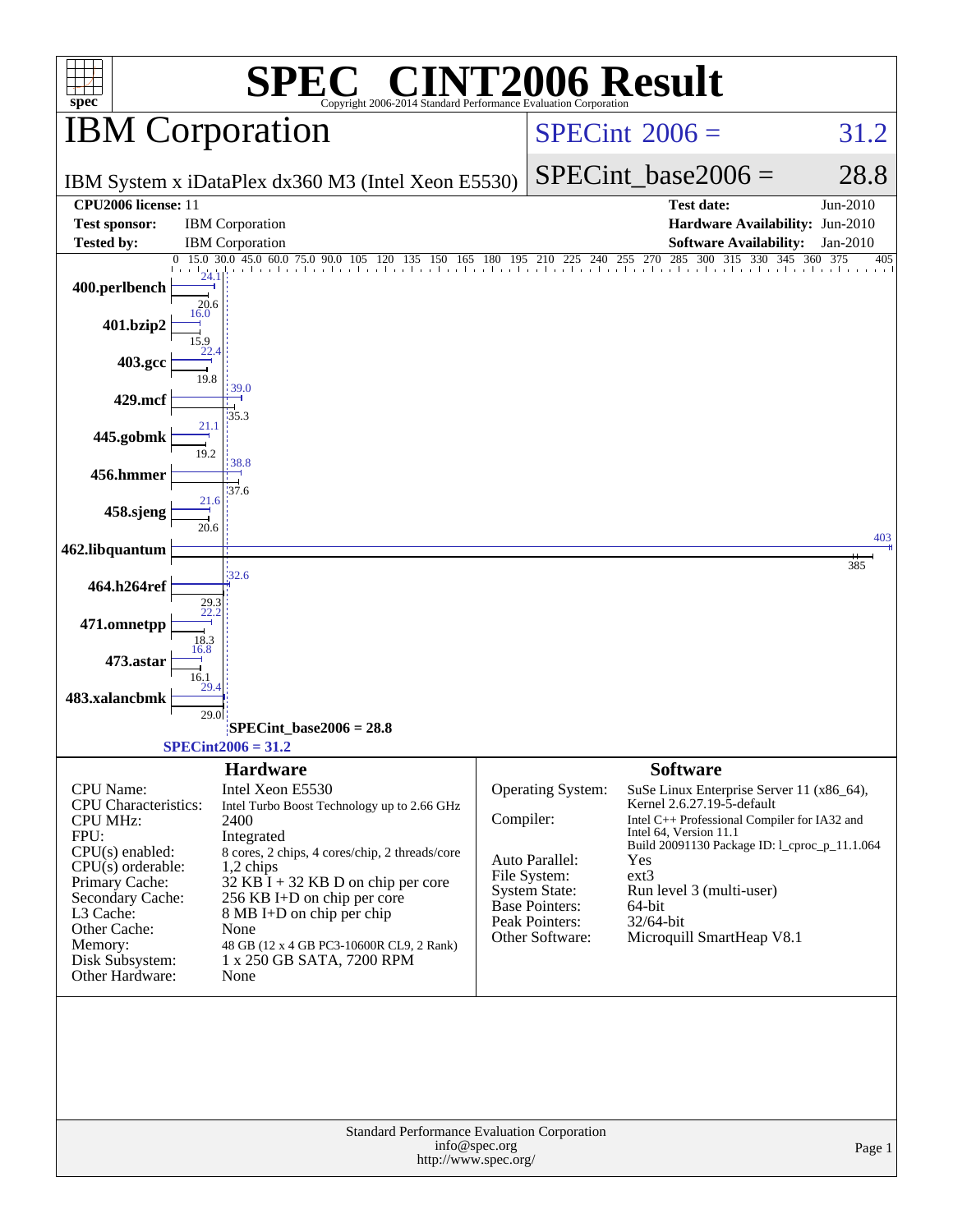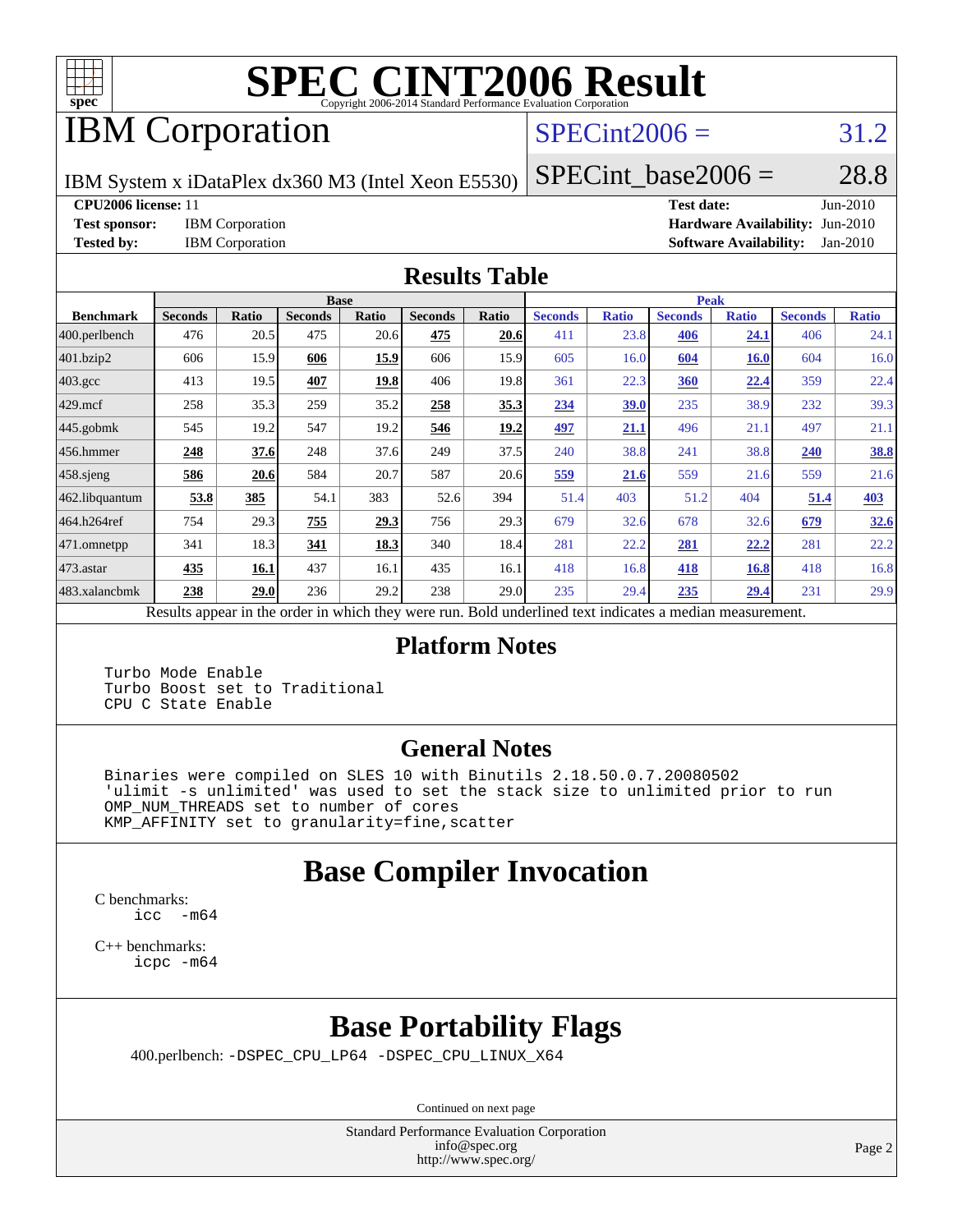

# **[SPEC CINT2006 Result](http://www.spec.org/auto/cpu2006/Docs/result-fields.html#SPECCINT2006Result)**

## IBM Corporation

#### $SPECint2006 = 31.2$  $SPECint2006 = 31.2$

IBM System x iDataPlex dx360 M3 (Intel Xeon E5530)

 $SPECTnt\_base2006 = 28.8$ 

**[CPU2006 license:](http://www.spec.org/auto/cpu2006/Docs/result-fields.html#CPU2006license)** 11 **[Test date:](http://www.spec.org/auto/cpu2006/Docs/result-fields.html#Testdate)** Jun-2010

**[Test sponsor:](http://www.spec.org/auto/cpu2006/Docs/result-fields.html#Testsponsor)** IBM Corporation **[Hardware Availability:](http://www.spec.org/auto/cpu2006/Docs/result-fields.html#HardwareAvailability)** Jun-2010 **[Tested by:](http://www.spec.org/auto/cpu2006/Docs/result-fields.html#Testedby)** IBM Corporation **[Software Availability:](http://www.spec.org/auto/cpu2006/Docs/result-fields.html#SoftwareAvailability)** Jan-2010

#### **[Results Table](http://www.spec.org/auto/cpu2006/Docs/result-fields.html#ResultsTable)**

|                  |                |              |                | <b>Base</b>  |                |              |                |              | <b>Peak</b>    |              |                |              |
|------------------|----------------|--------------|----------------|--------------|----------------|--------------|----------------|--------------|----------------|--------------|----------------|--------------|
| <b>Benchmark</b> | <b>Seconds</b> | <b>Ratio</b> | <b>Seconds</b> | <b>Ratio</b> | <b>Seconds</b> | <b>Ratio</b> | <b>Seconds</b> | <b>Ratio</b> | <b>Seconds</b> | <b>Ratio</b> | <b>Seconds</b> | <b>Ratio</b> |
| 400.perlbench    | 476            | 20.5         | 475            | 20.6         | 475            | 20.6         | 411            | 23.8         | 406            | <u>24.1</u>  | 406            | 24.1         |
| 401.bzip2        | 606            | 15.9         | 606            | 15.9         | 606            | 15.9         | 605            | 16.0         | 604            | <b>16.0</b>  | 604            | 16.0         |
| $403.\text{gcc}$ | 413            | 19.5         | 407            | 19.8         | 406            | 19.8         | 361            | 22.3         | 360            | 22.4         | 359            | 22.4         |
| $429$ mcf        | 258            | 35.3         | 259            | 35.2         | 258            | 35.3         | 234            | 39.0         | 235            | 38.9         | 232            | 39.3         |
| $445$ .gobmk     | 545            | 19.2         | 547            | 19.2         | 546            | 19.2         | 497            | 21.1         | 496            | 21.1         | 497            | 21.1         |
| $456.$ hmmer     | 248            | 37.6         | 248            | 37.6         | 249            | 37.5         | 240            | 38.8         | 241            | 38.8         | 240            | <b>38.8</b>  |
| $458$ .sjeng     | 586            | 20.6         | 584            | 20.7         | 587            | 20.6         | 559            | 21.6         | 559            | 21.6         | 559            | 21.6         |
| 462.libquantum   | 53.8           | 385          | 54.1           | 383          | 52.6           | 394          | 51.4           | 403          | 51.2           | 404          | 51.4           | 403          |
| 464.h264ref      | 754            | 29.3         | 755            | 29.3         | 756            | 29.3         | 679            | 32.6         | 678            | 32.6         | 679            | 32.6         |
| 471.omnetpp      | 341            | 18.3         | 341            | 18.3         | 340            | 18.4         | 281            | 22.2         | 281            | 22,2         | 281            | 22.2         |
| $473.$ astar     | 435            | 16.1         | 437            | 16.1         | 435            | 16.1         | 418            | 16.8         | 418            | 16.8         | 418            | 16.8         |
| 483.xalancbmk    | 238            | 29.0         | 236            | 29.2         | 238            | 29.0         | 235            | 29.4         | 235            | <u>29.4</u>  | 231            | 29.9         |

Results appear in the [order in which they were run.](http://www.spec.org/auto/cpu2006/Docs/result-fields.html#RunOrder) Bold underlined text [indicates a median measurement.](http://www.spec.org/auto/cpu2006/Docs/result-fields.html#Median)

#### **[Platform Notes](http://www.spec.org/auto/cpu2006/Docs/result-fields.html#PlatformNotes)**

 Turbo Mode Enable Turbo Boost set to Traditional CPU C State Enable

#### **[General Notes](http://www.spec.org/auto/cpu2006/Docs/result-fields.html#GeneralNotes)**

 Binaries were compiled on SLES 10 with Binutils 2.18.50.0.7.20080502 'ulimit -s unlimited' was used to set the stack size to unlimited prior to run OMP\_NUM\_THREADS set to number of cores KMP\_AFFINITY set to granularity=fine,scatter

## **[Base Compiler Invocation](http://www.spec.org/auto/cpu2006/Docs/result-fields.html#BaseCompilerInvocation)**

[C benchmarks](http://www.spec.org/auto/cpu2006/Docs/result-fields.html#Cbenchmarks): [icc -m64](http://www.spec.org/cpu2006/results/res2010q3/cpu2006-20100621-11785.flags.html#user_CCbase_intel_icc_64bit_f346026e86af2a669e726fe758c88044)

[C++ benchmarks:](http://www.spec.org/auto/cpu2006/Docs/result-fields.html#CXXbenchmarks) [icpc -m64](http://www.spec.org/cpu2006/results/res2010q3/cpu2006-20100621-11785.flags.html#user_CXXbase_intel_icpc_64bit_fc66a5337ce925472a5c54ad6a0de310)

## **[Base Portability Flags](http://www.spec.org/auto/cpu2006/Docs/result-fields.html#BasePortabilityFlags)**

400.perlbench: [-DSPEC\\_CPU\\_LP64](http://www.spec.org/cpu2006/results/res2010q3/cpu2006-20100621-11785.flags.html#b400.perlbench_basePORTABILITY_DSPEC_CPU_LP64) [-DSPEC\\_CPU\\_LINUX\\_X64](http://www.spec.org/cpu2006/results/res2010q3/cpu2006-20100621-11785.flags.html#b400.perlbench_baseCPORTABILITY_DSPEC_CPU_LINUX_X64)

Continued on next page

Standard Performance Evaluation Corporation [info@spec.org](mailto:info@spec.org) <http://www.spec.org/>

Page 2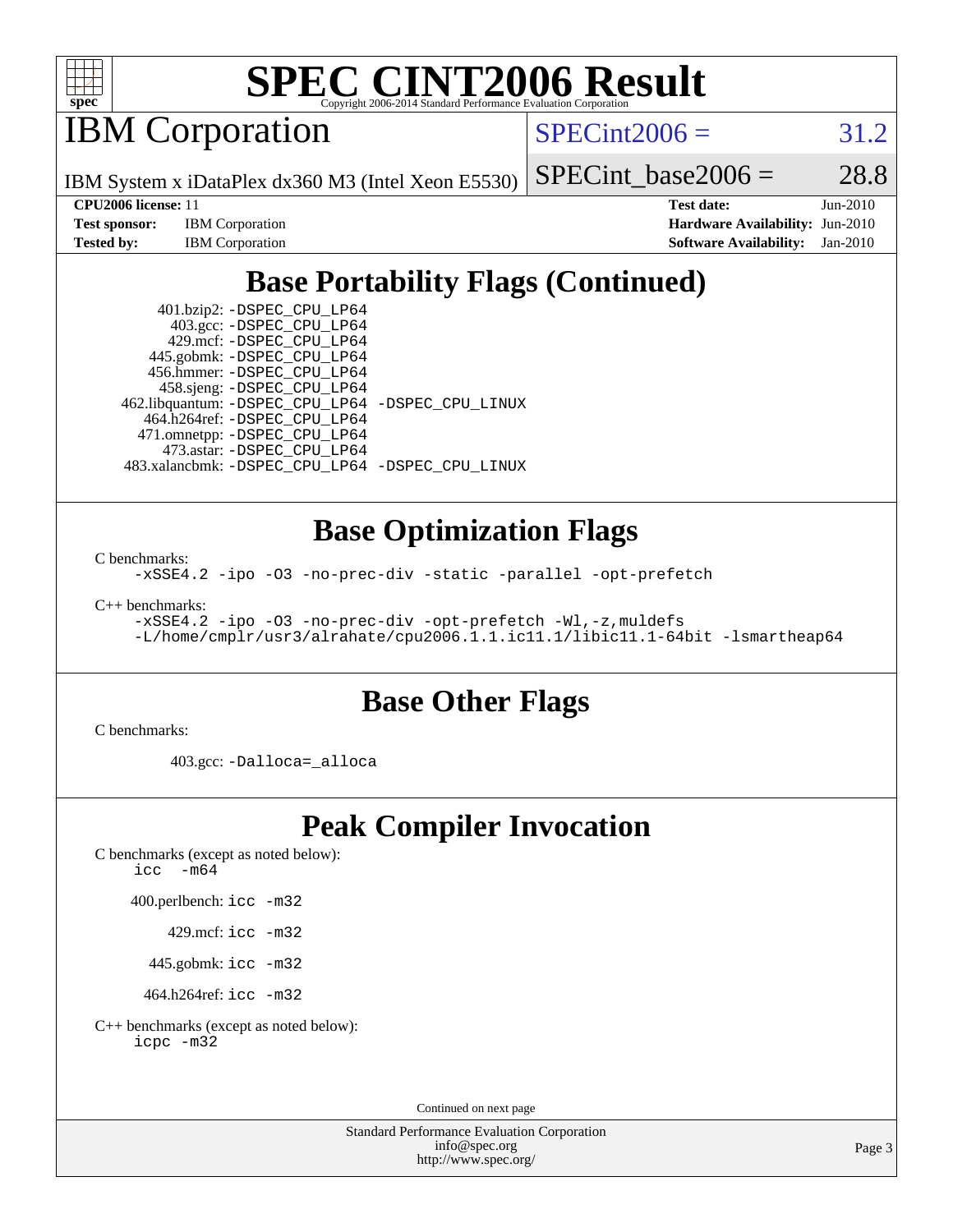

# **[SPEC CINT2006 Result](http://www.spec.org/auto/cpu2006/Docs/result-fields.html#SPECCINT2006Result)**

IBM Corporation

 $SPECint2006 = 31.2$  $SPECint2006 = 31.2$ 

SPECint base2006 =  $28.8$ 

IBM System x iDataPlex dx360 M3 (Intel Xeon E5530)

**[CPU2006 license:](http://www.spec.org/auto/cpu2006/Docs/result-fields.html#CPU2006license)** 11 **[Test date:](http://www.spec.org/auto/cpu2006/Docs/result-fields.html#Testdate)** Jun-2010 **[Test sponsor:](http://www.spec.org/auto/cpu2006/Docs/result-fields.html#Testsponsor)** IBM Corporation **[Hardware Availability:](http://www.spec.org/auto/cpu2006/Docs/result-fields.html#HardwareAvailability)** Jun-2010 **[Tested by:](http://www.spec.org/auto/cpu2006/Docs/result-fields.html#Testedby)** IBM Corporation **[Software Availability:](http://www.spec.org/auto/cpu2006/Docs/result-fields.html#SoftwareAvailability)** Jan-2010

## **[Base Portability Flags \(Continued\)](http://www.spec.org/auto/cpu2006/Docs/result-fields.html#BasePortabilityFlags)**

 401.bzip2: [-DSPEC\\_CPU\\_LP64](http://www.spec.org/cpu2006/results/res2010q3/cpu2006-20100621-11785.flags.html#suite_basePORTABILITY401_bzip2_DSPEC_CPU_LP64) 403.gcc: [-DSPEC\\_CPU\\_LP64](http://www.spec.org/cpu2006/results/res2010q3/cpu2006-20100621-11785.flags.html#suite_basePORTABILITY403_gcc_DSPEC_CPU_LP64) 429.mcf: [-DSPEC\\_CPU\\_LP64](http://www.spec.org/cpu2006/results/res2010q3/cpu2006-20100621-11785.flags.html#suite_basePORTABILITY429_mcf_DSPEC_CPU_LP64) 445.gobmk: [-DSPEC\\_CPU\\_LP64](http://www.spec.org/cpu2006/results/res2010q3/cpu2006-20100621-11785.flags.html#suite_basePORTABILITY445_gobmk_DSPEC_CPU_LP64) 456.hmmer: [-DSPEC\\_CPU\\_LP64](http://www.spec.org/cpu2006/results/res2010q3/cpu2006-20100621-11785.flags.html#suite_basePORTABILITY456_hmmer_DSPEC_CPU_LP64) 458.sjeng: [-DSPEC\\_CPU\\_LP64](http://www.spec.org/cpu2006/results/res2010q3/cpu2006-20100621-11785.flags.html#suite_basePORTABILITY458_sjeng_DSPEC_CPU_LP64) 462.libquantum: [-DSPEC\\_CPU\\_LP64](http://www.spec.org/cpu2006/results/res2010q3/cpu2006-20100621-11785.flags.html#suite_basePORTABILITY462_libquantum_DSPEC_CPU_LP64) [-DSPEC\\_CPU\\_LINUX](http://www.spec.org/cpu2006/results/res2010q3/cpu2006-20100621-11785.flags.html#b462.libquantum_baseCPORTABILITY_DSPEC_CPU_LINUX) 464.h264ref: [-DSPEC\\_CPU\\_LP64](http://www.spec.org/cpu2006/results/res2010q3/cpu2006-20100621-11785.flags.html#suite_basePORTABILITY464_h264ref_DSPEC_CPU_LP64) 471.omnetpp: [-DSPEC\\_CPU\\_LP64](http://www.spec.org/cpu2006/results/res2010q3/cpu2006-20100621-11785.flags.html#suite_basePORTABILITY471_omnetpp_DSPEC_CPU_LP64) 473.astar: [-DSPEC\\_CPU\\_LP64](http://www.spec.org/cpu2006/results/res2010q3/cpu2006-20100621-11785.flags.html#suite_basePORTABILITY473_astar_DSPEC_CPU_LP64) 483.xalancbmk: [-DSPEC\\_CPU\\_LP64](http://www.spec.org/cpu2006/results/res2010q3/cpu2006-20100621-11785.flags.html#suite_basePORTABILITY483_xalancbmk_DSPEC_CPU_LP64) [-DSPEC\\_CPU\\_LINUX](http://www.spec.org/cpu2006/results/res2010q3/cpu2006-20100621-11785.flags.html#b483.xalancbmk_baseCXXPORTABILITY_DSPEC_CPU_LINUX)

#### **[Base Optimization Flags](http://www.spec.org/auto/cpu2006/Docs/result-fields.html#BaseOptimizationFlags)**

[C benchmarks](http://www.spec.org/auto/cpu2006/Docs/result-fields.html#Cbenchmarks):

[-xSSE4.2](http://www.spec.org/cpu2006/results/res2010q3/cpu2006-20100621-11785.flags.html#user_CCbase_f-xSSE42_f91528193cf0b216347adb8b939d4107) [-ipo](http://www.spec.org/cpu2006/results/res2010q3/cpu2006-20100621-11785.flags.html#user_CCbase_f-ipo) [-O3](http://www.spec.org/cpu2006/results/res2010q3/cpu2006-20100621-11785.flags.html#user_CCbase_f-O3) [-no-prec-div](http://www.spec.org/cpu2006/results/res2010q3/cpu2006-20100621-11785.flags.html#user_CCbase_f-no-prec-div) [-static](http://www.spec.org/cpu2006/results/res2010q3/cpu2006-20100621-11785.flags.html#user_CCbase_f-static) [-parallel](http://www.spec.org/cpu2006/results/res2010q3/cpu2006-20100621-11785.flags.html#user_CCbase_f-parallel) [-opt-prefetch](http://www.spec.org/cpu2006/results/res2010q3/cpu2006-20100621-11785.flags.html#user_CCbase_f-opt-prefetch)

[C++ benchmarks:](http://www.spec.org/auto/cpu2006/Docs/result-fields.html#CXXbenchmarks)

[-xSSE4.2](http://www.spec.org/cpu2006/results/res2010q3/cpu2006-20100621-11785.flags.html#user_CXXbase_f-xSSE42_f91528193cf0b216347adb8b939d4107) [-ipo](http://www.spec.org/cpu2006/results/res2010q3/cpu2006-20100621-11785.flags.html#user_CXXbase_f-ipo) [-O3](http://www.spec.org/cpu2006/results/res2010q3/cpu2006-20100621-11785.flags.html#user_CXXbase_f-O3) [-no-prec-div](http://www.spec.org/cpu2006/results/res2010q3/cpu2006-20100621-11785.flags.html#user_CXXbase_f-no-prec-div) [-opt-prefetch](http://www.spec.org/cpu2006/results/res2010q3/cpu2006-20100621-11785.flags.html#user_CXXbase_f-opt-prefetch) [-Wl,-z,muldefs](http://www.spec.org/cpu2006/results/res2010q3/cpu2006-20100621-11785.flags.html#user_CXXbase_link_force_multiple1_74079c344b956b9658436fd1b6dd3a8a) [-L/home/cmplr/usr3/alrahate/cpu2006.1.1.ic11.1/libic11.1-64bit -lsmartheap64](http://www.spec.org/cpu2006/results/res2010q3/cpu2006-20100621-11785.flags.html#user_CXXbase_SmartHeap64_e2306cda84805d1ab360117a79ff779c)

#### **[Base Other Flags](http://www.spec.org/auto/cpu2006/Docs/result-fields.html#BaseOtherFlags)**

[C benchmarks](http://www.spec.org/auto/cpu2006/Docs/result-fields.html#Cbenchmarks):

403.gcc: [-Dalloca=\\_alloca](http://www.spec.org/cpu2006/results/res2010q3/cpu2006-20100621-11785.flags.html#b403.gcc_baseEXTRA_CFLAGS_Dalloca_be3056838c12de2578596ca5467af7f3)

#### **[Peak Compiler Invocation](http://www.spec.org/auto/cpu2006/Docs/result-fields.html#PeakCompilerInvocation)**

[C benchmarks \(except as noted below\)](http://www.spec.org/auto/cpu2006/Docs/result-fields.html#Cbenchmarksexceptasnotedbelow): [icc -m64](http://www.spec.org/cpu2006/results/res2010q3/cpu2006-20100621-11785.flags.html#user_CCpeak_intel_icc_64bit_f346026e86af2a669e726fe758c88044)

400.perlbench: [icc -m32](http://www.spec.org/cpu2006/results/res2010q3/cpu2006-20100621-11785.flags.html#user_peakCCLD400_perlbench_intel_icc_32bit_a6a621f8d50482236b970c6ac5f55f93)

429.mcf: [icc -m32](http://www.spec.org/cpu2006/results/res2010q3/cpu2006-20100621-11785.flags.html#user_peakCCLD429_mcf_intel_icc_32bit_a6a621f8d50482236b970c6ac5f55f93)

445.gobmk: [icc -m32](http://www.spec.org/cpu2006/results/res2010q3/cpu2006-20100621-11785.flags.html#user_peakCCLD445_gobmk_intel_icc_32bit_a6a621f8d50482236b970c6ac5f55f93)

464.h264ref: [icc -m32](http://www.spec.org/cpu2006/results/res2010q3/cpu2006-20100621-11785.flags.html#user_peakCCLD464_h264ref_intel_icc_32bit_a6a621f8d50482236b970c6ac5f55f93)

[C++ benchmarks \(except as noted below\):](http://www.spec.org/auto/cpu2006/Docs/result-fields.html#CXXbenchmarksexceptasnotedbelow) [icpc -m32](http://www.spec.org/cpu2006/results/res2010q3/cpu2006-20100621-11785.flags.html#user_CXXpeak_intel_icpc_32bit_4e5a5ef1a53fd332b3c49e69c3330699)

Continued on next page

Standard Performance Evaluation Corporation [info@spec.org](mailto:info@spec.org) <http://www.spec.org/>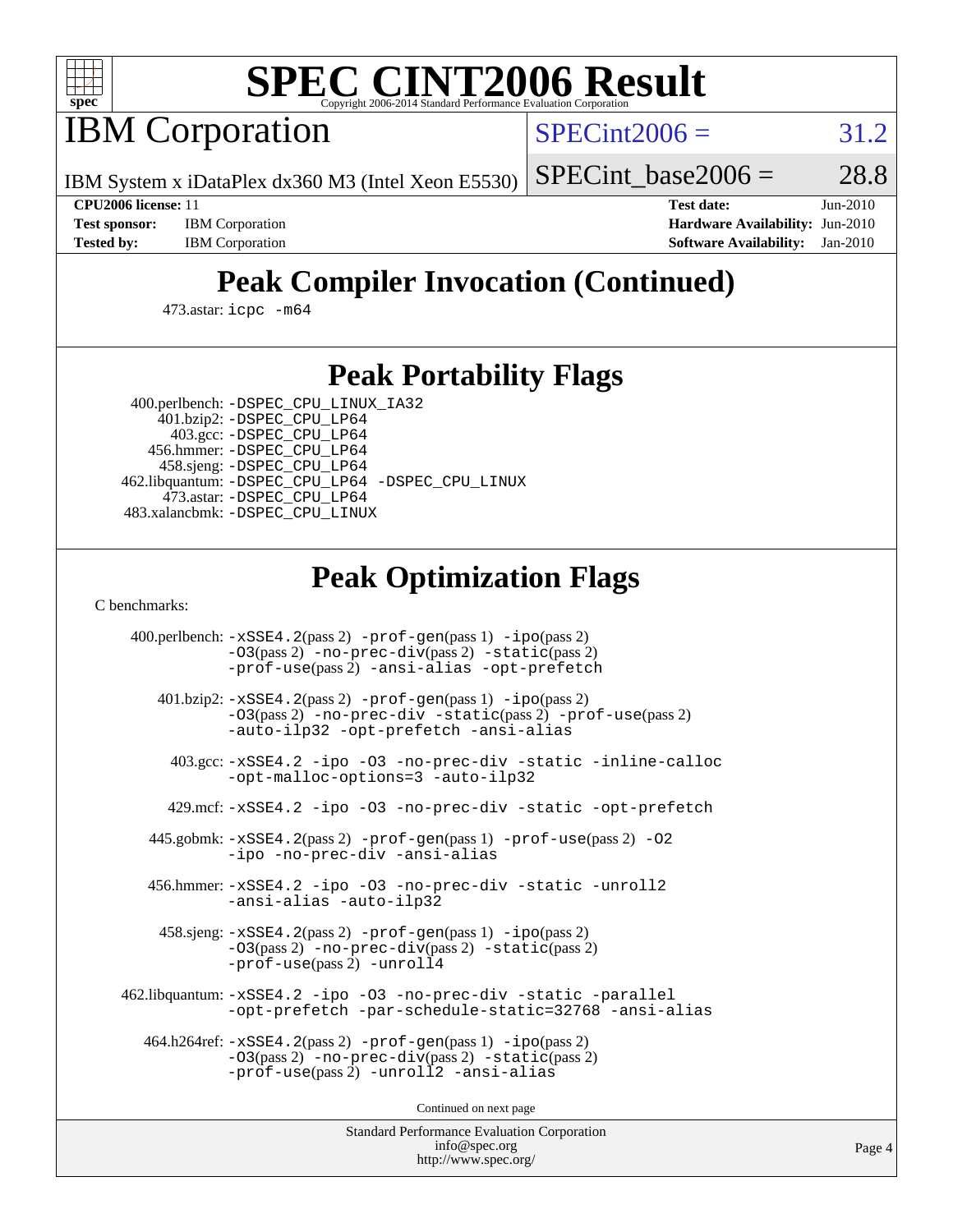

# **[SPEC CINT2006 Result](http://www.spec.org/auto/cpu2006/Docs/result-fields.html#SPECCINT2006Result)**

IBM Corporation

 $SPECint2006 = 31.2$  $SPECint2006 = 31.2$ 

IBM System x iDataPlex dx360 M3 (Intel Xeon E5530)

SPECint base2006 =  $28.8$ 

**[Test sponsor:](http://www.spec.org/auto/cpu2006/Docs/result-fields.html#Testsponsor)** IBM Corporation **[Hardware Availability:](http://www.spec.org/auto/cpu2006/Docs/result-fields.html#HardwareAvailability)** Jun-2010

**[CPU2006 license:](http://www.spec.org/auto/cpu2006/Docs/result-fields.html#CPU2006license)** 11 **[Test date:](http://www.spec.org/auto/cpu2006/Docs/result-fields.html#Testdate)** Jun-2010 **[Tested by:](http://www.spec.org/auto/cpu2006/Docs/result-fields.html#Testedby)** IBM Corporation **[Software Availability:](http://www.spec.org/auto/cpu2006/Docs/result-fields.html#SoftwareAvailability)** Jan-2010

## **[Peak Compiler Invocation \(Continued\)](http://www.spec.org/auto/cpu2006/Docs/result-fields.html#PeakCompilerInvocation)**

473.astar: [icpc -m64](http://www.spec.org/cpu2006/results/res2010q3/cpu2006-20100621-11785.flags.html#user_peakCXXLD473_astar_intel_icpc_64bit_fc66a5337ce925472a5c54ad6a0de310)

#### **[Peak Portability Flags](http://www.spec.org/auto/cpu2006/Docs/result-fields.html#PeakPortabilityFlags)**

 400.perlbench: [-DSPEC\\_CPU\\_LINUX\\_IA32](http://www.spec.org/cpu2006/results/res2010q3/cpu2006-20100621-11785.flags.html#b400.perlbench_peakCPORTABILITY_DSPEC_CPU_LINUX_IA32) 401.bzip2: [-DSPEC\\_CPU\\_LP64](http://www.spec.org/cpu2006/results/res2010q3/cpu2006-20100621-11785.flags.html#suite_peakPORTABILITY401_bzip2_DSPEC_CPU_LP64)

 403.gcc: [-DSPEC\\_CPU\\_LP64](http://www.spec.org/cpu2006/results/res2010q3/cpu2006-20100621-11785.flags.html#suite_peakPORTABILITY403_gcc_DSPEC_CPU_LP64) 456.hmmer: [-DSPEC\\_CPU\\_LP64](http://www.spec.org/cpu2006/results/res2010q3/cpu2006-20100621-11785.flags.html#suite_peakPORTABILITY456_hmmer_DSPEC_CPU_LP64) 458.sjeng: [-DSPEC\\_CPU\\_LP64](http://www.spec.org/cpu2006/results/res2010q3/cpu2006-20100621-11785.flags.html#suite_peakPORTABILITY458_sjeng_DSPEC_CPU_LP64) 462.libquantum: [-DSPEC\\_CPU\\_LP64](http://www.spec.org/cpu2006/results/res2010q3/cpu2006-20100621-11785.flags.html#suite_peakPORTABILITY462_libquantum_DSPEC_CPU_LP64) [-DSPEC\\_CPU\\_LINUX](http://www.spec.org/cpu2006/results/res2010q3/cpu2006-20100621-11785.flags.html#b462.libquantum_peakCPORTABILITY_DSPEC_CPU_LINUX) 473.astar: [-DSPEC\\_CPU\\_LP64](http://www.spec.org/cpu2006/results/res2010q3/cpu2006-20100621-11785.flags.html#suite_peakPORTABILITY473_astar_DSPEC_CPU_LP64) 483.xalancbmk: [-DSPEC\\_CPU\\_LINUX](http://www.spec.org/cpu2006/results/res2010q3/cpu2006-20100621-11785.flags.html#b483.xalancbmk_peakCXXPORTABILITY_DSPEC_CPU_LINUX)

#### **[Peak Optimization Flags](http://www.spec.org/auto/cpu2006/Docs/result-fields.html#PeakOptimizationFlags)**

[C benchmarks](http://www.spec.org/auto/cpu2006/Docs/result-fields.html#Cbenchmarks):

 400.perlbench: [-xSSE4.2](http://www.spec.org/cpu2006/results/res2010q3/cpu2006-20100621-11785.flags.html#user_peakPASS2_CFLAGSPASS2_LDCFLAGS400_perlbench_f-xSSE42_f91528193cf0b216347adb8b939d4107)(pass 2) [-prof-gen](http://www.spec.org/cpu2006/results/res2010q3/cpu2006-20100621-11785.flags.html#user_peakPASS1_CFLAGSPASS1_LDCFLAGS400_perlbench_prof_gen_e43856698f6ca7b7e442dfd80e94a8fc)(pass 1) [-ipo](http://www.spec.org/cpu2006/results/res2010q3/cpu2006-20100621-11785.flags.html#user_peakPASS2_CFLAGSPASS2_LDCFLAGS400_perlbench_f-ipo)(pass 2) [-O3](http://www.spec.org/cpu2006/results/res2010q3/cpu2006-20100621-11785.flags.html#user_peakPASS2_CFLAGSPASS2_LDCFLAGS400_perlbench_f-O3)(pass 2) [-no-prec-div](http://www.spec.org/cpu2006/results/res2010q3/cpu2006-20100621-11785.flags.html#user_peakPASS2_CFLAGSPASS2_LDCFLAGS400_perlbench_f-no-prec-div)(pass 2) [-static](http://www.spec.org/cpu2006/results/res2010q3/cpu2006-20100621-11785.flags.html#user_peakPASS2_CFLAGSPASS2_LDCFLAGS400_perlbench_f-static)(pass 2) [-prof-use](http://www.spec.org/cpu2006/results/res2010q3/cpu2006-20100621-11785.flags.html#user_peakPASS2_CFLAGSPASS2_LDCFLAGS400_perlbench_prof_use_bccf7792157ff70d64e32fe3e1250b55)(pass 2) [-ansi-alias](http://www.spec.org/cpu2006/results/res2010q3/cpu2006-20100621-11785.flags.html#user_peakCOPTIMIZE400_perlbench_f-ansi-alias) [-opt-prefetch](http://www.spec.org/cpu2006/results/res2010q3/cpu2006-20100621-11785.flags.html#user_peakCOPTIMIZE400_perlbench_f-opt-prefetch) 401.bzip2: [-xSSE4.2](http://www.spec.org/cpu2006/results/res2010q3/cpu2006-20100621-11785.flags.html#user_peakPASS2_CFLAGSPASS2_LDCFLAGS401_bzip2_f-xSSE42_f91528193cf0b216347adb8b939d4107)(pass 2) [-prof-gen](http://www.spec.org/cpu2006/results/res2010q3/cpu2006-20100621-11785.flags.html#user_peakPASS1_CFLAGSPASS1_LDCFLAGS401_bzip2_prof_gen_e43856698f6ca7b7e442dfd80e94a8fc)(pass 1) [-ipo](http://www.spec.org/cpu2006/results/res2010q3/cpu2006-20100621-11785.flags.html#user_peakPASS2_CFLAGSPASS2_LDCFLAGS401_bzip2_f-ipo)(pass 2) [-O3](http://www.spec.org/cpu2006/results/res2010q3/cpu2006-20100621-11785.flags.html#user_peakPASS2_CFLAGSPASS2_LDCFLAGS401_bzip2_f-O3)(pass 2) [-no-prec-div](http://www.spec.org/cpu2006/results/res2010q3/cpu2006-20100621-11785.flags.html#user_peakCOPTIMIZEPASS2_CFLAGSPASS2_LDCFLAGS401_bzip2_f-no-prec-div) [-static](http://www.spec.org/cpu2006/results/res2010q3/cpu2006-20100621-11785.flags.html#user_peakPASS2_CFLAGSPASS2_LDCFLAGS401_bzip2_f-static)(pass 2) [-prof-use](http://www.spec.org/cpu2006/results/res2010q3/cpu2006-20100621-11785.flags.html#user_peakPASS2_CFLAGSPASS2_LDCFLAGS401_bzip2_prof_use_bccf7792157ff70d64e32fe3e1250b55)(pass 2) [-auto-ilp32](http://www.spec.org/cpu2006/results/res2010q3/cpu2006-20100621-11785.flags.html#user_peakCOPTIMIZE401_bzip2_f-auto-ilp32) [-opt-prefetch](http://www.spec.org/cpu2006/results/res2010q3/cpu2006-20100621-11785.flags.html#user_peakCOPTIMIZE401_bzip2_f-opt-prefetch) [-ansi-alias](http://www.spec.org/cpu2006/results/res2010q3/cpu2006-20100621-11785.flags.html#user_peakCOPTIMIZE401_bzip2_f-ansi-alias) 403.gcc: [-xSSE4.2](http://www.spec.org/cpu2006/results/res2010q3/cpu2006-20100621-11785.flags.html#user_peakCOPTIMIZE403_gcc_f-xSSE42_f91528193cf0b216347adb8b939d4107) [-ipo](http://www.spec.org/cpu2006/results/res2010q3/cpu2006-20100621-11785.flags.html#user_peakCOPTIMIZE403_gcc_f-ipo) [-O3](http://www.spec.org/cpu2006/results/res2010q3/cpu2006-20100621-11785.flags.html#user_peakCOPTIMIZE403_gcc_f-O3) [-no-prec-div](http://www.spec.org/cpu2006/results/res2010q3/cpu2006-20100621-11785.flags.html#user_peakCOPTIMIZE403_gcc_f-no-prec-div) [-static](http://www.spec.org/cpu2006/results/res2010q3/cpu2006-20100621-11785.flags.html#user_peakCOPTIMIZE403_gcc_f-static) [-inline-calloc](http://www.spec.org/cpu2006/results/res2010q3/cpu2006-20100621-11785.flags.html#user_peakCOPTIMIZE403_gcc_f-inline-calloc) [-opt-malloc-options=3](http://www.spec.org/cpu2006/results/res2010q3/cpu2006-20100621-11785.flags.html#user_peakCOPTIMIZE403_gcc_f-opt-malloc-options_13ab9b803cf986b4ee62f0a5998c2238) [-auto-ilp32](http://www.spec.org/cpu2006/results/res2010q3/cpu2006-20100621-11785.flags.html#user_peakCOPTIMIZE403_gcc_f-auto-ilp32) 429.mcf: [-xSSE4.2](http://www.spec.org/cpu2006/results/res2010q3/cpu2006-20100621-11785.flags.html#user_peakCOPTIMIZE429_mcf_f-xSSE42_f91528193cf0b216347adb8b939d4107) [-ipo](http://www.spec.org/cpu2006/results/res2010q3/cpu2006-20100621-11785.flags.html#user_peakCOPTIMIZE429_mcf_f-ipo) [-O3](http://www.spec.org/cpu2006/results/res2010q3/cpu2006-20100621-11785.flags.html#user_peakCOPTIMIZE429_mcf_f-O3) [-no-prec-div](http://www.spec.org/cpu2006/results/res2010q3/cpu2006-20100621-11785.flags.html#user_peakCOPTIMIZE429_mcf_f-no-prec-div) [-static](http://www.spec.org/cpu2006/results/res2010q3/cpu2006-20100621-11785.flags.html#user_peakCOPTIMIZE429_mcf_f-static) [-opt-prefetch](http://www.spec.org/cpu2006/results/res2010q3/cpu2006-20100621-11785.flags.html#user_peakCOPTIMIZE429_mcf_f-opt-prefetch) 445.gobmk: [-xSSE4.2](http://www.spec.org/cpu2006/results/res2010q3/cpu2006-20100621-11785.flags.html#user_peakPASS2_CFLAGSPASS2_LDCFLAGS445_gobmk_f-xSSE42_f91528193cf0b216347adb8b939d4107)(pass 2) [-prof-gen](http://www.spec.org/cpu2006/results/res2010q3/cpu2006-20100621-11785.flags.html#user_peakPASS1_CFLAGSPASS1_LDCFLAGS445_gobmk_prof_gen_e43856698f6ca7b7e442dfd80e94a8fc)(pass 1) [-prof-use](http://www.spec.org/cpu2006/results/res2010q3/cpu2006-20100621-11785.flags.html#user_peakPASS2_CFLAGSPASS2_LDCFLAGS445_gobmk_prof_use_bccf7792157ff70d64e32fe3e1250b55)(pass 2) [-O2](http://www.spec.org/cpu2006/results/res2010q3/cpu2006-20100621-11785.flags.html#user_peakCOPTIMIZE445_gobmk_f-O2) [-ipo](http://www.spec.org/cpu2006/results/res2010q3/cpu2006-20100621-11785.flags.html#user_peakCOPTIMIZE445_gobmk_f-ipo) [-no-prec-div](http://www.spec.org/cpu2006/results/res2010q3/cpu2006-20100621-11785.flags.html#user_peakCOPTIMIZE445_gobmk_f-no-prec-div) [-ansi-alias](http://www.spec.org/cpu2006/results/res2010q3/cpu2006-20100621-11785.flags.html#user_peakCOPTIMIZE445_gobmk_f-ansi-alias) 456.hmmer: [-xSSE4.2](http://www.spec.org/cpu2006/results/res2010q3/cpu2006-20100621-11785.flags.html#user_peakCOPTIMIZE456_hmmer_f-xSSE42_f91528193cf0b216347adb8b939d4107) [-ipo](http://www.spec.org/cpu2006/results/res2010q3/cpu2006-20100621-11785.flags.html#user_peakCOPTIMIZE456_hmmer_f-ipo) [-O3](http://www.spec.org/cpu2006/results/res2010q3/cpu2006-20100621-11785.flags.html#user_peakCOPTIMIZE456_hmmer_f-O3) [-no-prec-div](http://www.spec.org/cpu2006/results/res2010q3/cpu2006-20100621-11785.flags.html#user_peakCOPTIMIZE456_hmmer_f-no-prec-div) [-static](http://www.spec.org/cpu2006/results/res2010q3/cpu2006-20100621-11785.flags.html#user_peakCOPTIMIZE456_hmmer_f-static) [-unroll2](http://www.spec.org/cpu2006/results/res2010q3/cpu2006-20100621-11785.flags.html#user_peakCOPTIMIZE456_hmmer_f-unroll_784dae83bebfb236979b41d2422d7ec2) [-ansi-alias](http://www.spec.org/cpu2006/results/res2010q3/cpu2006-20100621-11785.flags.html#user_peakCOPTIMIZE456_hmmer_f-ansi-alias) [-auto-ilp32](http://www.spec.org/cpu2006/results/res2010q3/cpu2006-20100621-11785.flags.html#user_peakCOPTIMIZE456_hmmer_f-auto-ilp32) 458.sjeng: [-xSSE4.2](http://www.spec.org/cpu2006/results/res2010q3/cpu2006-20100621-11785.flags.html#user_peakPASS2_CFLAGSPASS2_LDCFLAGS458_sjeng_f-xSSE42_f91528193cf0b216347adb8b939d4107)(pass 2) [-prof-gen](http://www.spec.org/cpu2006/results/res2010q3/cpu2006-20100621-11785.flags.html#user_peakPASS1_CFLAGSPASS1_LDCFLAGS458_sjeng_prof_gen_e43856698f6ca7b7e442dfd80e94a8fc)(pass 1) [-ipo](http://www.spec.org/cpu2006/results/res2010q3/cpu2006-20100621-11785.flags.html#user_peakPASS2_CFLAGSPASS2_LDCFLAGS458_sjeng_f-ipo)(pass 2) [-O3](http://www.spec.org/cpu2006/results/res2010q3/cpu2006-20100621-11785.flags.html#user_peakPASS2_CFLAGSPASS2_LDCFLAGS458_sjeng_f-O3)(pass 2) [-no-prec-div](http://www.spec.org/cpu2006/results/res2010q3/cpu2006-20100621-11785.flags.html#user_peakPASS2_CFLAGSPASS2_LDCFLAGS458_sjeng_f-no-prec-div)(pass 2) [-static](http://www.spec.org/cpu2006/results/res2010q3/cpu2006-20100621-11785.flags.html#user_peakPASS2_CFLAGSPASS2_LDCFLAGS458_sjeng_f-static)(pass 2) [-prof-use](http://www.spec.org/cpu2006/results/res2010q3/cpu2006-20100621-11785.flags.html#user_peakPASS2_CFLAGSPASS2_LDCFLAGS458_sjeng_prof_use_bccf7792157ff70d64e32fe3e1250b55)(pass 2) [-unroll4](http://www.spec.org/cpu2006/results/res2010q3/cpu2006-20100621-11785.flags.html#user_peakCOPTIMIZE458_sjeng_f-unroll_4e5e4ed65b7fd20bdcd365bec371b81f) 462.libquantum: [-xSSE4.2](http://www.spec.org/cpu2006/results/res2010q3/cpu2006-20100621-11785.flags.html#user_peakCOPTIMIZE462_libquantum_f-xSSE42_f91528193cf0b216347adb8b939d4107) [-ipo](http://www.spec.org/cpu2006/results/res2010q3/cpu2006-20100621-11785.flags.html#user_peakCOPTIMIZE462_libquantum_f-ipo) [-O3](http://www.spec.org/cpu2006/results/res2010q3/cpu2006-20100621-11785.flags.html#user_peakCOPTIMIZE462_libquantum_f-O3) [-no-prec-div](http://www.spec.org/cpu2006/results/res2010q3/cpu2006-20100621-11785.flags.html#user_peakCOPTIMIZE462_libquantum_f-no-prec-div) [-static](http://www.spec.org/cpu2006/results/res2010q3/cpu2006-20100621-11785.flags.html#user_peakCOPTIMIZE462_libquantum_f-static) [-parallel](http://www.spec.org/cpu2006/results/res2010q3/cpu2006-20100621-11785.flags.html#user_peakCOPTIMIZE462_libquantum_f-parallel) [-opt-prefetch](http://www.spec.org/cpu2006/results/res2010q3/cpu2006-20100621-11785.flags.html#user_peakCOPTIMIZE462_libquantum_f-opt-prefetch) [-par-schedule-static=32768](http://www.spec.org/cpu2006/results/res2010q3/cpu2006-20100621-11785.flags.html#user_peakCOPTIMIZE462_libquantum_f-par-schedule_9386bcd99ba64e99ee01d1aafefddd14) [-ansi-alias](http://www.spec.org/cpu2006/results/res2010q3/cpu2006-20100621-11785.flags.html#user_peakCOPTIMIZE462_libquantum_f-ansi-alias) 464.h264ref: [-xSSE4.2](http://www.spec.org/cpu2006/results/res2010q3/cpu2006-20100621-11785.flags.html#user_peakPASS2_CFLAGSPASS2_LDCFLAGS464_h264ref_f-xSSE42_f91528193cf0b216347adb8b939d4107)(pass 2) [-prof-gen](http://www.spec.org/cpu2006/results/res2010q3/cpu2006-20100621-11785.flags.html#user_peakPASS1_CFLAGSPASS1_LDCFLAGS464_h264ref_prof_gen_e43856698f6ca7b7e442dfd80e94a8fc)(pass 1) [-ipo](http://www.spec.org/cpu2006/results/res2010q3/cpu2006-20100621-11785.flags.html#user_peakPASS2_CFLAGSPASS2_LDCFLAGS464_h264ref_f-ipo)(pass 2) [-O3](http://www.spec.org/cpu2006/results/res2010q3/cpu2006-20100621-11785.flags.html#user_peakPASS2_CFLAGSPASS2_LDCFLAGS464_h264ref_f-O3)(pass 2) [-no-prec-div](http://www.spec.org/cpu2006/results/res2010q3/cpu2006-20100621-11785.flags.html#user_peakPASS2_CFLAGSPASS2_LDCFLAGS464_h264ref_f-no-prec-div)(pass 2) [-static](http://www.spec.org/cpu2006/results/res2010q3/cpu2006-20100621-11785.flags.html#user_peakPASS2_CFLAGSPASS2_LDCFLAGS464_h264ref_f-static)(pass 2) [-prof-use](http://www.spec.org/cpu2006/results/res2010q3/cpu2006-20100621-11785.flags.html#user_peakPASS2_CFLAGSPASS2_LDCFLAGS464_h264ref_prof_use_bccf7792157ff70d64e32fe3e1250b55)(pass 2) [-unroll2](http://www.spec.org/cpu2006/results/res2010q3/cpu2006-20100621-11785.flags.html#user_peakCOPTIMIZE464_h264ref_f-unroll_784dae83bebfb236979b41d2422d7ec2) [-ansi-alias](http://www.spec.org/cpu2006/results/res2010q3/cpu2006-20100621-11785.flags.html#user_peakCOPTIMIZE464_h264ref_f-ansi-alias)

Continued on next page

Standard Performance Evaluation Corporation [info@spec.org](mailto:info@spec.org) <http://www.spec.org/>